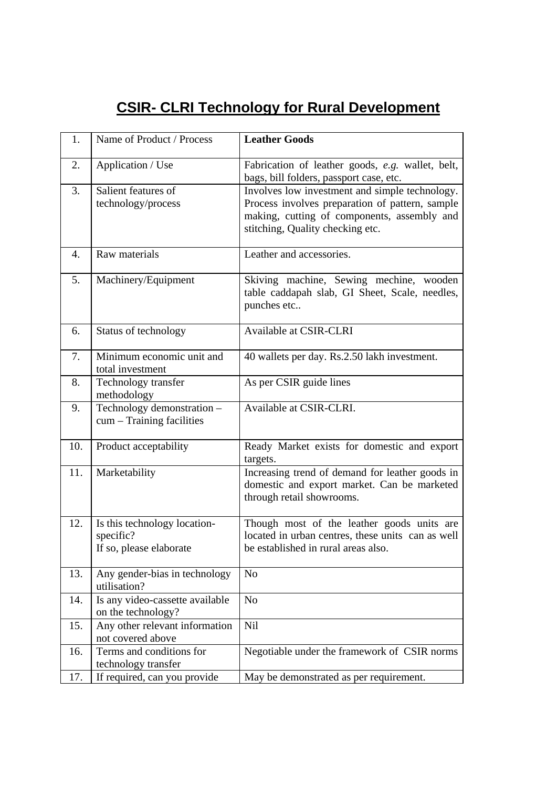## **CSIR- CLRI Technology for Rural Development**

| 1.  | Name of Product / Process                                            | <b>Leather Goods</b>                                                                                                                                                                 |
|-----|----------------------------------------------------------------------|--------------------------------------------------------------------------------------------------------------------------------------------------------------------------------------|
| 2.  | Application / Use                                                    | Fabrication of leather goods, e.g. wallet, belt,                                                                                                                                     |
|     |                                                                      | bags, bill folders, passport case, etc.                                                                                                                                              |
| 3.  | Salient features of<br>technology/process                            | Involves low investment and simple technology.<br>Process involves preparation of pattern, sample<br>making, cutting of components, assembly and<br>stitching, Quality checking etc. |
| 4.  | Raw materials                                                        | Leather and accessories.                                                                                                                                                             |
| 5.  | Machinery/Equipment                                                  | Skiving machine, Sewing mechine, wooden<br>table caddapah slab, GI Sheet, Scale, needles,<br>punches etc                                                                             |
| 6.  | Status of technology                                                 | <b>Available at CSIR-CLRI</b>                                                                                                                                                        |
| 7.  | Minimum economic unit and<br>total investment                        | 40 wallets per day. Rs.2.50 lakh investment.                                                                                                                                         |
| 8.  | Technology transfer<br>methodology                                   | As per CSIR guide lines                                                                                                                                                              |
| 9.  | Technology demonstration -<br>cum - Training facilities              | Available at CSIR-CLRI.                                                                                                                                                              |
| 10. | Product acceptability                                                | Ready Market exists for domestic and export<br>targets.                                                                                                                              |
| 11. | Marketability                                                        | Increasing trend of demand for leather goods in<br>domestic and export market. Can be marketed<br>through retail showrooms.                                                          |
| 12. | Is this technology location-<br>specific?<br>If so, please elaborate | Though most of the leather goods units are<br>located in urban centres, these units can as well<br>be established in rural areas also.                                               |
| 13. | Any gender-bias in technology<br>utilisation?                        | N <sub>o</sub>                                                                                                                                                                       |
| 14. | Is any video-cassette available<br>on the technology?                | N <sub>o</sub>                                                                                                                                                                       |
| 15. | Any other relevant information<br>not covered above                  | Nil                                                                                                                                                                                  |
| 16. | Terms and conditions for<br>technology transfer                      | Negotiable under the framework of CSIR norms                                                                                                                                         |
| 17. | If required, can you provide                                         | May be demonstrated as per requirement.                                                                                                                                              |